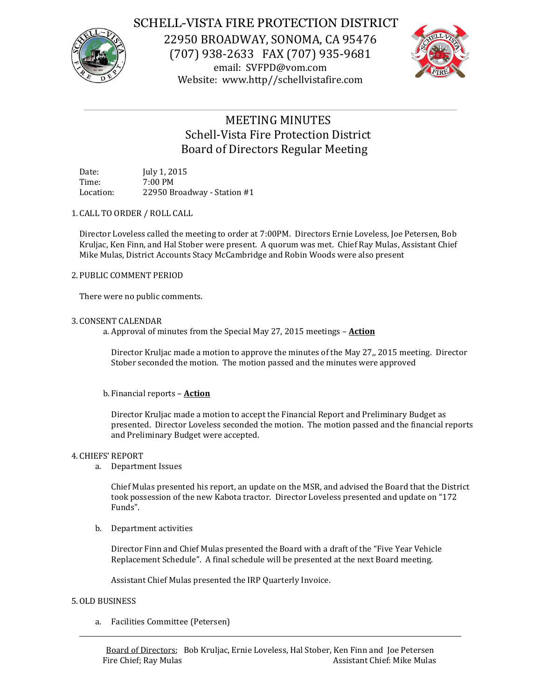

# SCHELL-VISTA FIRE PROTECTION DISTRICT

22950 BROADWAY, SONOMA, CA 95476 (707) 938-2633 FAX (707) 935-9681 email: SVFPD@vom.com Website: www.http//schellvistafire.com



# MEETING MINUTES Schell-Vista Fire Protection District Board of Directors Regular Meeting

Date: July 1, 2015 Time: 7:00 PM Location: 22950 Broadway - Station #1

# 1. CALL TO ORDER / ROLL CALL

Director Loveless called the meeting to order at 7:00PM. Directors Ernie Loveless, Joe Petersen, Bob Kruljac, Ken Finn, and Hal Stober were present. A quorum was met. Chief Ray Mulas, Assistant Chief Mike Mulas, District Accounts Stacy McCambridge and Robin Woods were also present

## 2. PUBLIC COMMENT PERIOD

There were no public comments.

## 3. CONSENT CALENDAR

a. Approval of minutes from the Special May 27, 2015 meetings – **Action**

Director Kruljac made a motion to approve the minutes of the May 27,, 2015 meeting. Director Stober seconded the motion. The motion passed and the minutes were approved

# b. Financial reports – **Action**

Director Kruljac made a motion to accept the Financial Report and Preliminary Budget as presented. Director Loveless seconded the motion. The motion passed and the financial reports and Preliminary Budget were accepted.

### 4. CHIEFS' REPORT

a. Department Issues

Chief Mulas presented his report, an update on the MSR, and advised the Board that the District took possession of the new Kabota tractor. Director Loveless presented and update on "172 Funds".

b. Department activities

Director Finn and Chief Mulas presented the Board with a draft of the "Five Year Vehicle Replacement Schedule". A final schedule will be presented at the next Board meeting.

Assistant Chief Mulas presented the IRP Quarterly Invoice.

### 5.OLD BUSINESS

a. Facilities Committee (Petersen)